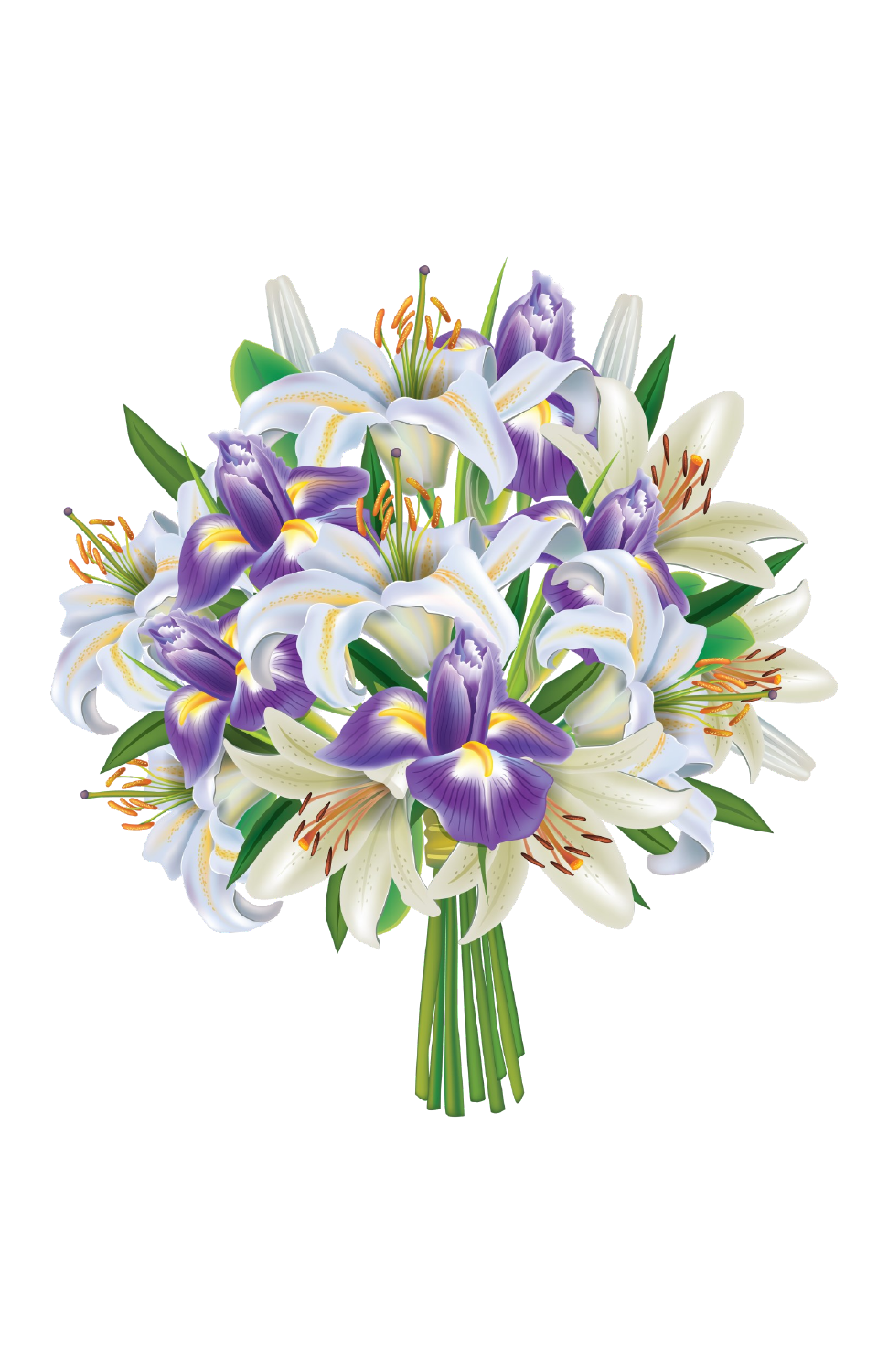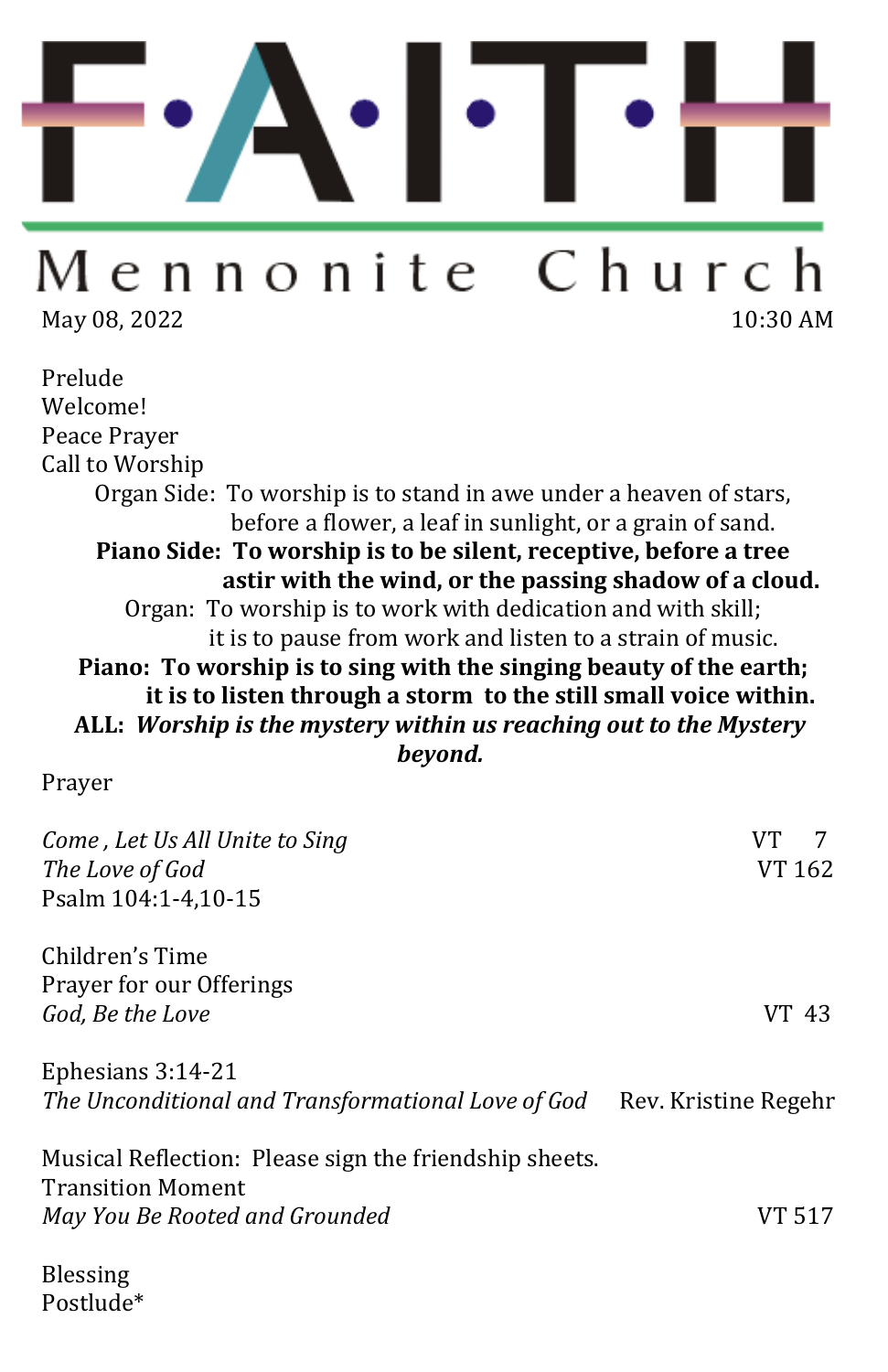

# Mennonite Church May 08, 2022 10:30 AM

Prelude Welcome! Peace Prayer Call to Worship Organ Side: To worship is to stand in awe under a heaven of stars, before a flower, a leaf in sunlight, or a grain of sand. **Piano Side: To worship is to be silent, receptive, before a tree astir with the wind, or the passing shadow of a cloud.** Organ: To worship is to work with dedication and with skill; it is to pause from work and listen to a strain of music. **Piano: To worship is to sing with the singing beauty of the earth; it is to listen through a storm to the still small voice within. ALL:** *Worship is the mystery within us reaching out to the Mystery beyond.*

Prayer

| Come, Let Us All Unite to Sing                         | VТ                   |
|--------------------------------------------------------|----------------------|
| The Love of God                                        | VT 162               |
| Psalm 104:1-4,10-15                                    |                      |
| Children's Time                                        |                      |
| Prayer for our Offerings                               |                      |
| God, Be the Love                                       | VT 43                |
| Ephesians 3:14-21                                      |                      |
| The Unconditional and Transformational Love of God     | Rev. Kristine Regehr |
| Musical Reflection: Please sign the friendship sheets. |                      |
| <b>Transition Moment</b>                               |                      |
| May You Be Rooted and Grounded                         | VT 517               |
| <b>Rlaccing</b>                                        |                      |

Blessing Postlude\*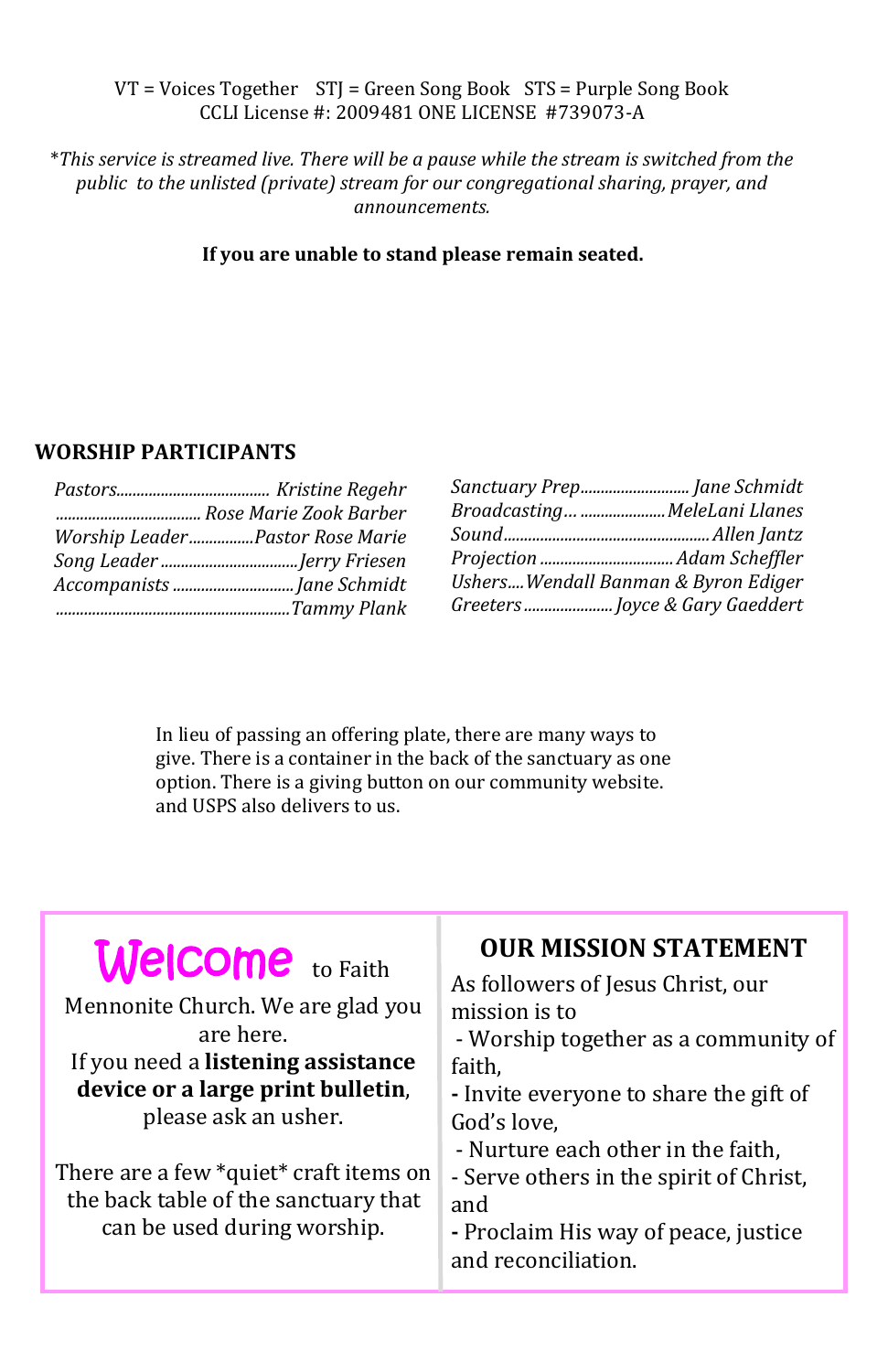VT = Voices Together STJ = Green Song Book STS = Purple Song Book CCLI License #: 2009481 ONE LICENSE #739073-A

\**This service is streamed live. There will be a pause while the stream is switched from the public to the unlisted (private) stream for our congregational sharing, prayer, and announcements.* 

**If you are unable to stand please remain seated.**

#### **WORSHIP PARTICIPANTS**

| Worship LeaderPastor Rose Marie<br>Ushers Wendall Banman & Byron Ediger<br>Greeters  Joyce & Gary Gaeddert |  | Broadcasting MeleLani Llanes |
|------------------------------------------------------------------------------------------------------------|--|------------------------------|
|                                                                                                            |  |                              |

In lieu of passing an offering plate, there are many ways to give. There is a container in the back of the sanctuary as one option. There is a giving button on our community website. and USPS also delivers to us.

| <b>Welcome</b> to Faith<br>Mennonite Church. We are glad you<br>are here.<br>If you need a listening assistance<br>device or a large print bulletin,<br>please ask an usher.<br>There are a few *quiet* craft items on<br>the back table of the sanctuary that<br>can be used during worship. | <b>OUR MISSION STATEMENT</b><br>As followers of Jesus Christ, our<br>mission is to<br>- Worship together as a community of<br>faith,<br>- Invite everyone to share the gift of<br>God's love,<br>- Nurture each other in the faith,<br>- Serve others in the spirit of Christ,<br>and<br>- Proclaim His way of peace, justice<br>and reconciliation. |
|-----------------------------------------------------------------------------------------------------------------------------------------------------------------------------------------------------------------------------------------------------------------------------------------------|------------------------------------------------------------------------------------------------------------------------------------------------------------------------------------------------------------------------------------------------------------------------------------------------------------------------------------------------------|
|                                                                                                                                                                                                                                                                                               |                                                                                                                                                                                                                                                                                                                                                      |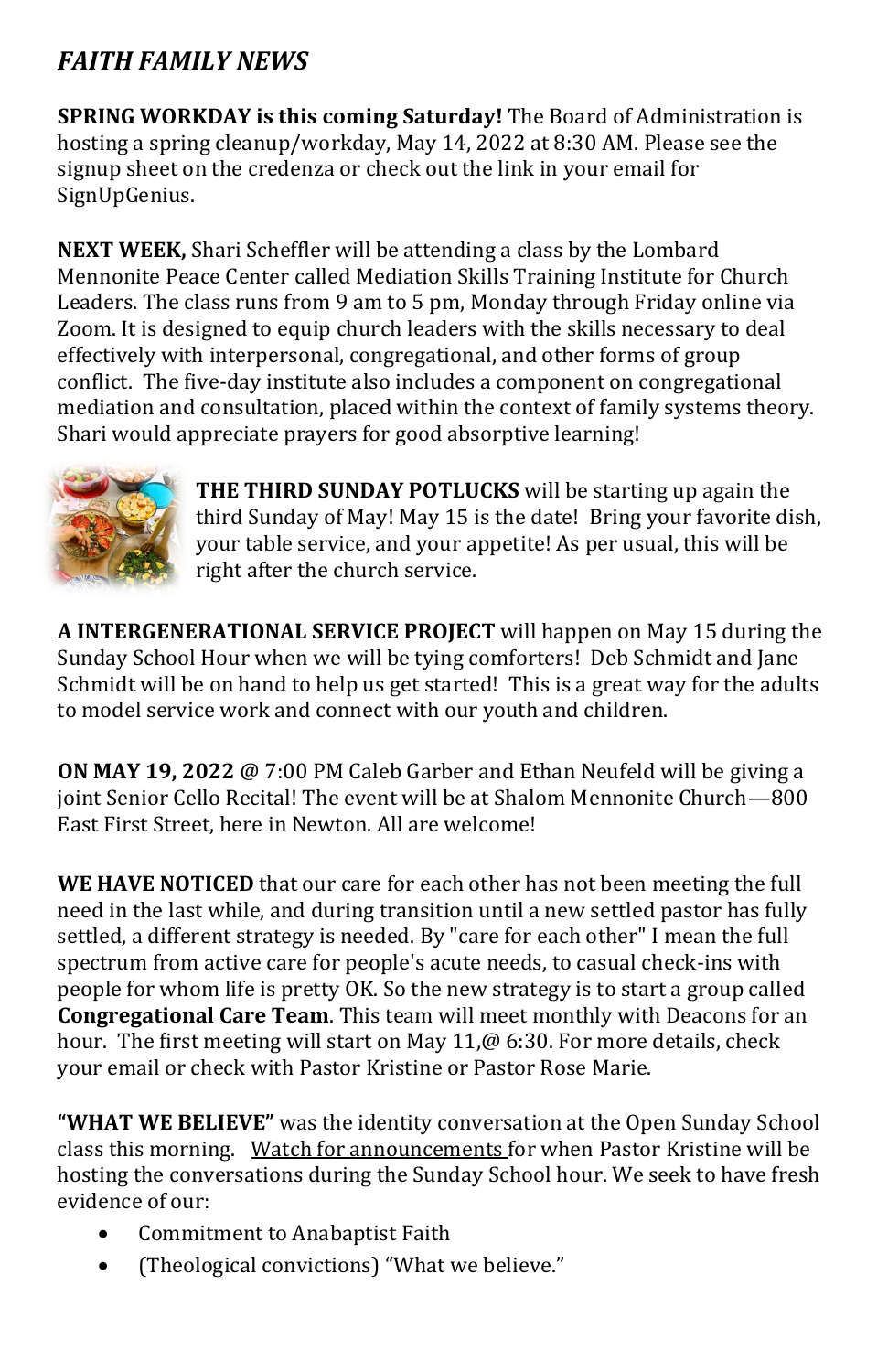### *FAITH FAMILY NEWS*

**SPRING WORKDAY is this coming Saturday!** The Board of Administration is hosting a spring cleanup/workday, May 14, 2022 at 8:30 AM. Please see the signup sheet on the credenza or check out the link in your email for SignUpGenius.

**NEXT WEEK,** Shari Scheffler will be attending a class by the Lombard Mennonite Peace Center called Mediation Skills Training Institute for Church Leaders. The class runs from 9 am to 5 pm, Monday through Friday online via Zoom. It is designed to equip church leaders with the skills necessary to deal effectively with interpersonal, congregational, and other forms of group conflict. The five-day institute also includes a component on congregational mediation and consultation, placed within the context of family systems theory. Shari would appreciate prayers for good absorptive learning!



**THE THIRD SUNDAY POTLUCKS** will be starting up again the third Sunday of May! May 15 is the date! Bring your favorite dish, your table service, and your appetite! As per usual, this will be right after the church service.

**A INTERGENERATIONAL SERVICE PROJECT** will happen on May 15 during the Sunday School Hour when we will be tying comforters! Deb Schmidt and Jane Schmidt will be on hand to help us get started! This is a great way for the adults to model service work and connect with our youth and children.

**ON MAY 19, 2022** @ 7:00 PM Caleb Garber and Ethan Neufeld will be giving a joint Senior Cello Recital! The event will be at Shalom Mennonite Church—800 East First Street, here in Newton. All are welcome!

**WE HAVE NOTICED** that our care for each other has not been meeting the full need in the last while, and during transition until a new settled pastor has fully settled, a different strategy is needed. By "care for each other" I mean the full spectrum from active care for people's acute needs, to casual check-ins with people for whom life is pretty OK. So the new strategy is to start a group called **Congregational Care Team**. This team will meet monthly with Deacons for an hour. The first meeting will start on May 11,@ 6:30. For more details, check your email or check with Pastor Kristine or Pastor Rose Marie.

**"WHAT WE BELIEVE"** was the identity conversation at the Open Sunday School class this morning. Watch for announcements for when Pastor Kristine will be hosting the conversations during the Sunday School hour. We seek to have fresh evidence of our:

- Commitment to Anabaptist Faith
- (Theological convictions) "What we believe."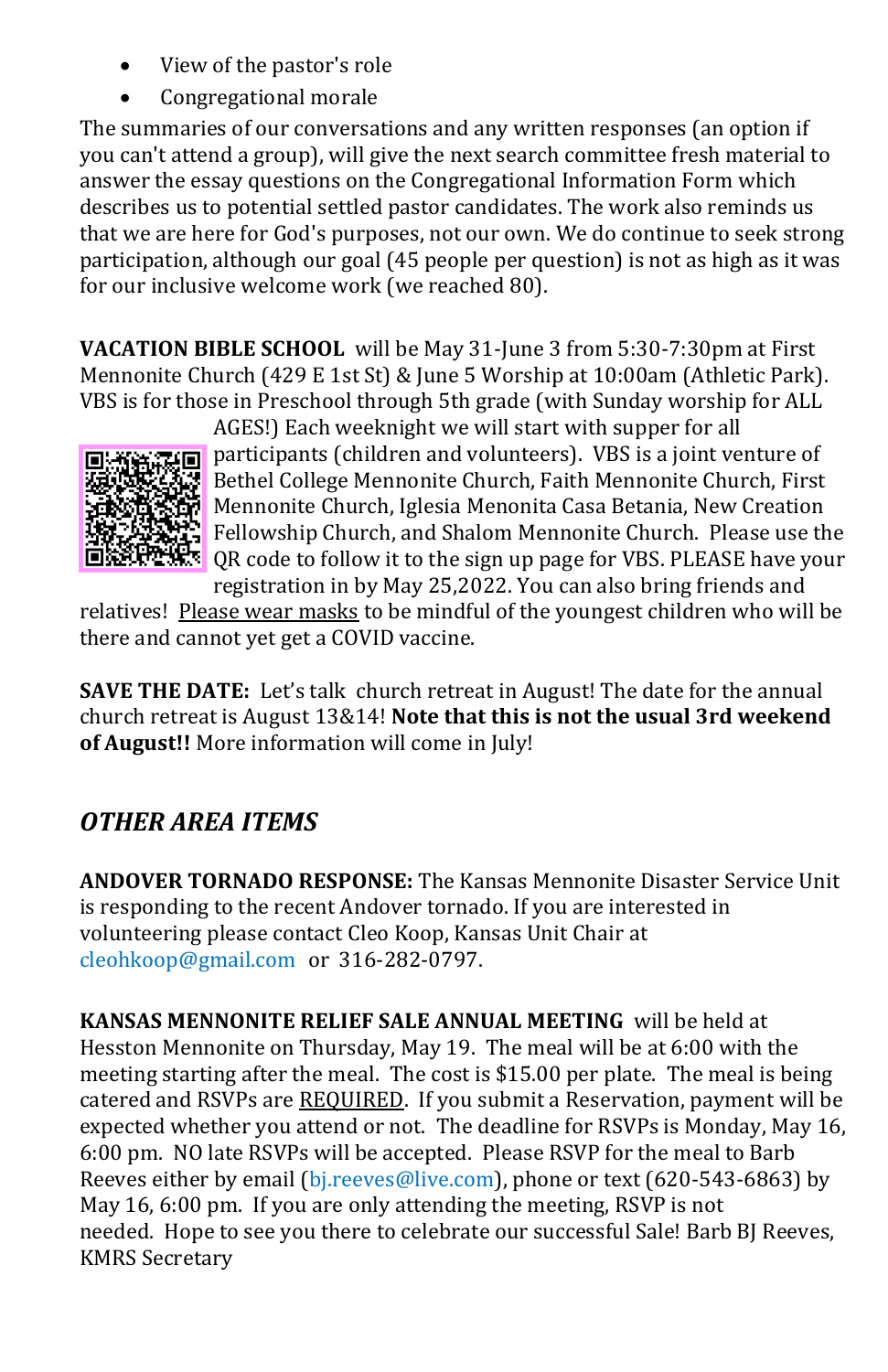- View of the pastor's role
- Congregational morale

The summaries of our conversations and any written responses (an option if you can't attend a group), will give the next search committee fresh material to answer the essay questions on the Congregational Information Form which describes us to potential settled pastor candidates. The work also reminds us that we are here for God's purposes, not our own. We do continue to seek strong participation, although our goal (45 people per question) is not as high as it was for our inclusive welcome work (we reached 80).

**VACATION BIBLE SCHOOL** will be May 31-June 3 from 5:30-7:30pm at First Mennonite Church (429 E 1st St) & June 5 Worship at 10:00am (Athletic Park). VBS is for those in Preschool through 5th grade (with Sunday worship for ALL



AGES!) Each weeknight we will start with supper for all participants (children and volunteers). VBS is a joint venture of Bethel College Mennonite Church, Faith Mennonite Church, First Mennonite Church, Iglesia Menonita Casa Betania, New Creation Fellowship Church, and Shalom Mennonite Church. Please use the QR code to follow it to the sign up page for VBS. PLEASE have your registration in by May 25,2022. You can also bring friends and

relatives! Please wear masks to be mindful of the youngest children who will be there and cannot yet get a COVID vaccine.

**SAVE THE DATE:** Let's talk church retreat in August! The date for the annual church retreat is August 13&14! **Note that this is not the usual 3rd weekend of August!!** More information will come in July!

### *OTHER AREA ITEMS*

**ANDOVER TORNADO RESPONSE:** The Kansas Mennonite Disaster Service Unit is responding to the recent Andover tornado. If you are interested in volunteering please contact Cleo Koop, Kansas Unit Chair at [cleohkoop@gmail.com](mailto:cleo.koop@gmail.com) or 316-282-0797.

**KANSAS MENNONITE RELIEF SALE ANNUAL MEETING** will be held at Hesston Mennonite on Thursday, May 19. The meal will be at 6:00 with the meeting starting after the meal. The cost is \$15.00 per plate. The meal is being catered and RSVPs are REQUIRED. If you submit a Reservation, payment will be expected whether you attend or not. The deadline for RSVPs is Monday, May 16, 6:00 pm. NO late RSVPs will be accepted. Please RSVP for the meal to Barb Reeves either by email ([bj.reeves@live.com\)](mailto:bj.reeves@live.com), phone or text (620-543-6863) by May 16, 6:00 pm. If you are only attending the meeting, RSVP is not needed. Hope to see you there to celebrate our successful Sale! Barb BJ Reeves, KMRS Secretary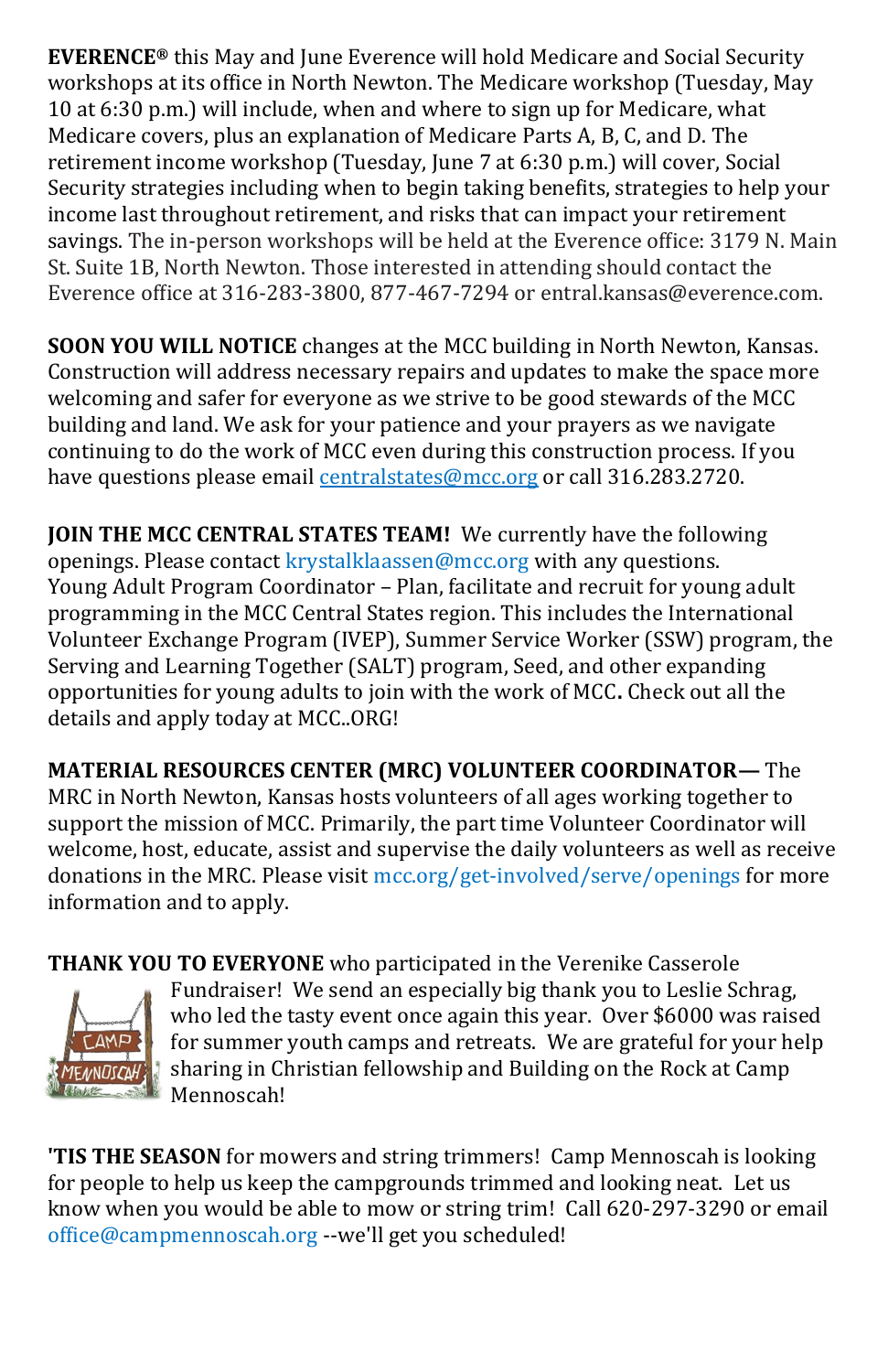**EVERENCE®** this May and June Everence will hold Medicare and Social Security workshops at its office in North Newton. The Medicare workshop (Tuesday, May 10 at 6:30 p.m.) will include, when and where to sign up for Medicare, what Medicare covers, plus an explanation of Medicare Parts A, B, C, and D. The retirement income workshop (Tuesday, June 7 at 6:30 p.m.) will cover, Social Security strategies including when to begin taking benefits, strategies to help your income last throughout retirement, and risks that can impact your retirement savings. The in-person workshops will be held at the Everence office: 3179 N. Main St. Suite 1B, North Newton. Those interested in attending should contact the Everence office at 316-283-3800, 877-467-7294 or entral.kansas@everence.com.

**SOON YOU WILL NOTICE** changes at the MCC building in North Newton, Kansas. Construction will address necessary repairs and updates to make the space more welcoming and safer for everyone as we strive to be good stewards of the MCC building and land. We ask for your patience and your prayers as we navigate continuing to do the work of MCC even during this construction process. If you have questions please email [centralstates@mcc.org](mailto:centralstates@mcc.org) or call 316.283.2720.

**JOIN THE MCC CENTRAL STATES TEAM!** We currently have the following openings. Please contact<krystalklaassen@mcc.org> with any questions. Young Adult Program Coordinator – Plan, facilitate and recruit for young adult programming in the MCC Central States region. This includes the International Volunteer Exchange Program (IVEP), Summer Service Worker (SSW) program, the Serving and Learning Together (SALT) program, Seed, and other expanding opportunities for young adults to join with the work of MCC**.** [Check out all the](https://mcc.org/get-involved/serve/openings/young-adult-coordinator-central-states)  [details and apply today at MCC..ORG!](https://mcc.org/get-involved/serve/openings/young-adult-coordinator-central-states)

**MATERIAL RESOURCES CENTER (MRC) VOLUNTEER COORDINATOR—** The MRC in North Newton, Kansas hosts volunteers of all ages working together to support the mission of MCC. Primarily, the part time Volunteer Coordinator will welcome, host, educate, assist and supervise the daily volunteers as well as receive donations in the MRC. Please visit mcc.org/get-[involved/serve/openings](https://mcc.org/get-involved/serve/openings/material-resource-center-volunteer-coordinator-central-states) for more information and to apply.

**THANK YOU TO EVERYONE** who participated in the Verenike Casserole



Fundraiser! We send an especially big thank you to Leslie Schrag, who led the tasty event once again this year. Over \$6000 was raised for summer youth camps and retreats. We are grateful for your help sharing in Christian fellowship and Building on the Rock at Camp Mennoscah!

**'TIS THE SEASON** for mowers and string trimmers! Camp Mennoscah is looking for people to help us keep the campgrounds trimmed and looking neat. Let us know when you would be able to mow or string trim! Call 620-297-3290 or email [office@campmennoscah.org](mailto:office@campmennoscah.org) --we'll get you scheduled!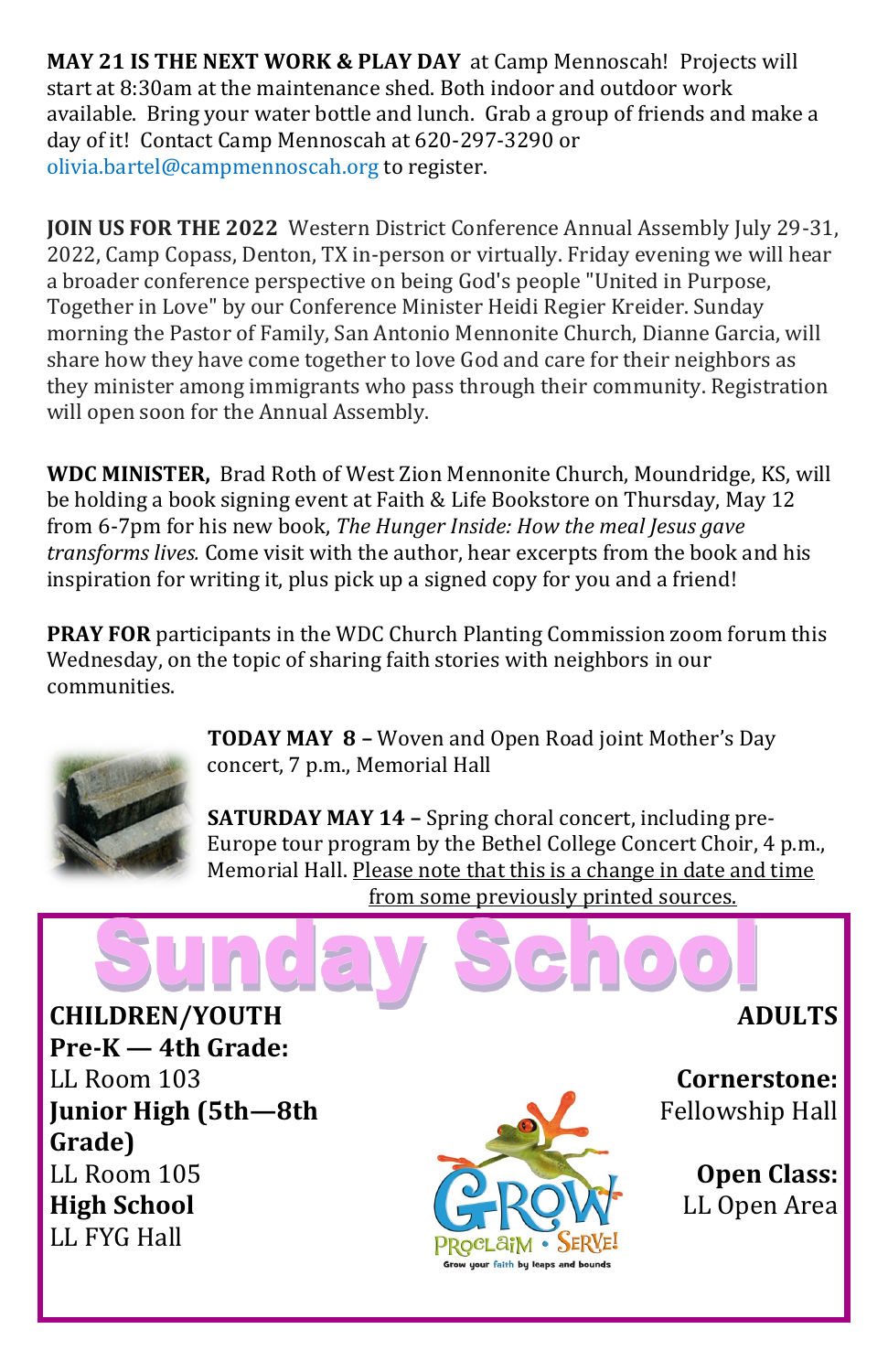**MAY 21 IS THE NEXT WORK & PLAY DAY** at Camp Mennoscah! Projects will start at 8:30am at the maintenance shed. Both indoor and outdoor work available. Bring your water bottle and lunch. Grab a group of friends and make a day of it! Contact Camp Mennoscah at 620-297-3290 or [olivia.bartel@campmennoscah.org](mailto:olivia.bartel@campmennoscah.org) to register.

**JOIN US FOR THE 2022** Western District Conference Annual Assembly July 29-31, 2022, Camp Copass, Denton, TX in-person or virtually. Friday evening we will hear a broader conference perspective on being God's people "United in Purpose, Together in Love" by our Conference Minister Heidi Regier Kreider. Sunday morning the Pastor of Family, San Antonio Mennonite Church, Dianne Garcia, will share how they have come together to love God and care for their neighbors as they minister among immigrants who pass through their community. Registration will open soon for the Annual Assembly.

**WDC MINISTER,** Brad Roth of West Zion Mennonite Church, Moundridge, KS, will be holding a book signing event at Faith & Life Bookstore on Thursday, May 12 from 6-7pm for his new book, *The Hunger Inside: How the meal Jesus gave transforms lives.* Come visit with the author, hear excerpts from the book and his inspiration for writing it, plus pick up a signed copy for you and a friend!

**PRAY FOR** participants in the WDC Church Planting Commission zoom forum this Wednesday, on the topic of sharing faith stories with neighbors in our communities.



**TODAY MAY 8 –** Woven and Open Road joint Mother's Day concert, 7 p.m., Memorial Hall

**SATURDAY MAY 14 –** Spring choral concert, including pre-Europe tour program by the Bethel College Concert Choir, 4 p.m., Memorial Hall. Please note that this is a change in date and time from some previously printed sources.

**CHILDREN/YOUTH Pre-K — 4th Grade:**  LL Room 103 **Junior High (5th—8th Grade)** LL Room 105 **High School**  LL FYG Hall



**ADULTS**

**Cornerstone:**  Fellowship Hall

> **Open Class:** LL Open Area